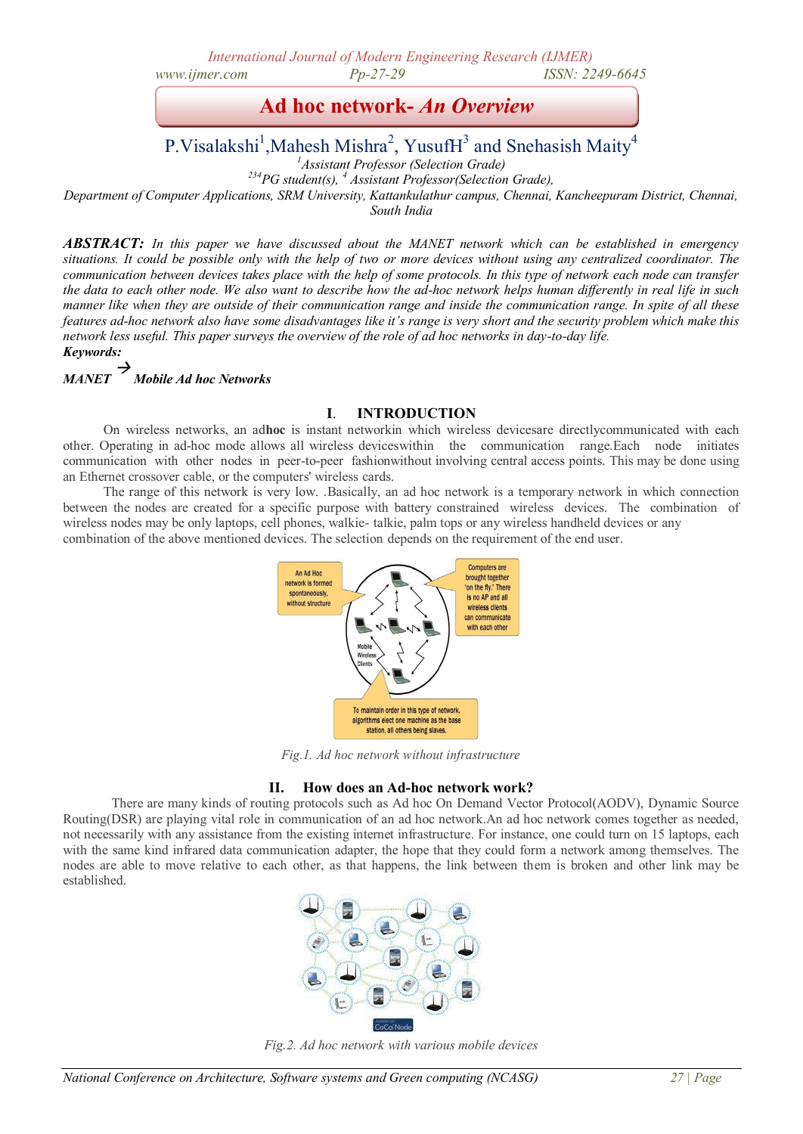*International Journal of Modern Engineering Research (IJMER) www.ijmer.com Pp-27-29 ISSN: 2249-6645* 

**Ad hoc network-** *An Overview*

# P. Visalakshi<sup>1</sup>, Mahesh Mishra<sup>2</sup>, Yusuf H<sup>3</sup> and Snehasish Maity<sup>4</sup>

*<sup>1</sup>Assistant Professor (Selection Grade)*

*<sup>234</sup>PG student(s), <sup>4</sup> Assistant Professor(Selection Grade),*

*Department of Computer Applications, SRM University, Kattankulathur campus, Chennai, Kancheepuram District, Chennai, South India*

*ABSTRACT: In this paper we have discussed about the MANET network which can be established in emergency situations. It could be possible only with the help of two or more devices without using any centralized coordinator. The communication between devices takes place with the help of some protocols. In this type of network each node can transfer the data to each other node. We also want to describe how the ad-hoc network helps human differently in real life in such manner like when they are outside of their communication range and inside the communication range. In spite of all these features ad-hoc network also have some disadvantages like it's range is very short and the security problem which make this network less useful. This paper surveys the overview of the role of ad hoc networks in day-to-day life. Keywords:*

#### *MANET*  → *Mobile Ad hoc Networks*

# **I**. **INTRODUCTION**

On wireless networks, an ad**hoc** is instant networkin which wireless devicesare directlycommunicated with each other. Operating in ad-hoc mode allows all wireless deviceswithin the communication range.Each node initiates communication with other nodes in peer-to-peer fashionwithout involving central access points. This may be done using an Ethernet crossover cable, or the computers' wireless cards.

The range of this network is very low. .Basically, an ad hoc network is a temporary network in which connection between the nodes are created for a specific purpose with battery constrained wireless devices. The combination of wireless nodes may be only laptops, cell phones, walkie- talkie, palm tops or any wireless handheld devices or any combination of the above mentioned devices. The selection depends on the requirement of the end user.



*Fig.1. Ad hoc network without infrastructure*

# **II. How does an Ad-hoc network work?**

There are many kinds of routing protocols such as Ad hoc On Demand Vector Protocol(AODV), Dynamic Source Routing(DSR) are playing vital role in communication of an ad hoc network.An ad hoc network comes together as needed, not necessarily with any assistance from the existing internet infrastructure. For instance, one could turn on 15 laptops, each with the same kind infrared data communication adapter, the hope that they could form a network among themselves. The nodes are able to move relative to each other, as that happens, the link between them is broken and other link may be established.



*Fig.2. Ad hoc network with various mobile devices*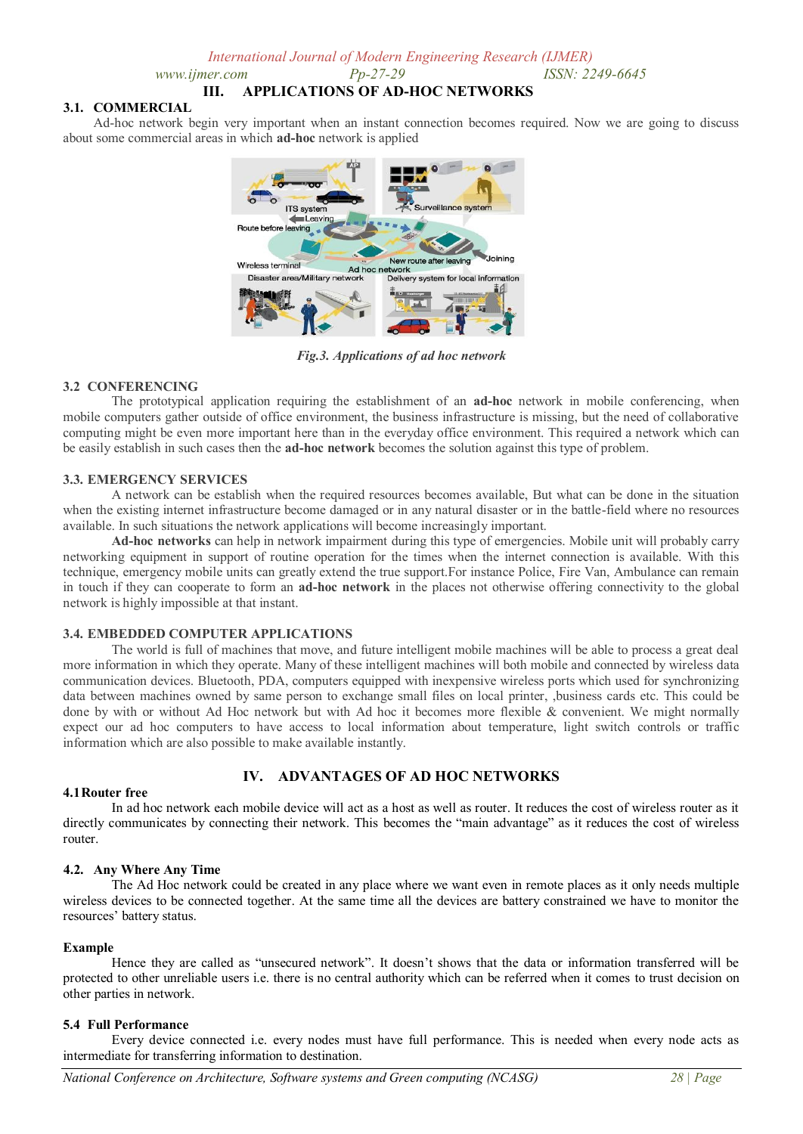*www.ijmer.com Pp-27-29 ISSN: 2249-6645* 

# **III. APPLICATIONS OF AD-HOC NETWORKS**

## **3.1. COMMERCIAL**

Ad-hoc network begin very important when an instant connection becomes required. Now we are going to discuss about some commercial areas in which **ad-hoc** network is applied



*Fig.3. Applications of ad hoc network*

# **3.2 CONFERENCING**

The prototypical application requiring the establishment of an **ad-hoc** network in mobile conferencing, when mobile computers gather outside of office environment, the business infrastructure is missing, but the need of collaborative computing might be even more important here than in the everyday office environment. This required a network which can be easily establish in such cases then the **ad-hoc network** becomes the solution against this type of problem.

### **3.3. EMERGENCY SERVICES**

A network can be establish when the required resources becomes available, But what can be done in the situation when the existing internet infrastructure become damaged or in any natural disaster or in the battle-field where no resources available. In such situations the network applications will become increasingly important.

**Ad-hoc networks** can help in network impairment during this type of emergencies. Mobile unit will probably carry networking equipment in support of routine operation for the times when the internet connection is available. With this technique, emergency mobile units can greatly extend the true support.For instance Police, Fire Van, Ambulance can remain in touch if they can cooperate to form an **ad-hoc network** in the places not otherwise offering connectivity to the global network is highly impossible at that instant.

# **3.4. EMBEDDED COMPUTER APPLICATIONS**

The world is full of machines that move, and future intelligent mobile machines will be able to process a great deal more information in which they operate. Many of these intelligent machines will both mobile and connected by wireless data communication devices. Bluetooth, PDA, computers equipped with inexpensive wireless ports which used for synchronizing data between machines owned by same person to exchange small files on local printer, ,business cards etc. This could be done by with or without Ad Hoc network but with Ad hoc it becomes more flexible & convenient. We might normally expect our ad hoc computers to have access to local information about temperature, light switch controls or traffic information which are also possible to make available instantly.

# **IV. ADVANTAGES OF AD HOC NETWORKS**

#### **4.1Router free**

In ad hoc network each mobile device will act as a host as well as router. It reduces the cost of wireless router as it directly communicates by connecting their network. This becomes the "main advantage" as it reduces the cost of wireless router.

# **4.2. Any Where Any Time**

The Ad Hoc network could be created in any place where we want even in remote places as it only needs multiple wireless devices to be connected together. At the same time all the devices are battery constrained we have to monitor the resources' battery status.

# **Example**

Hence they are called as "unsecured network". It doesn't shows that the data or information transferred will be protected to other unreliable users i.e. there is no central authority which can be referred when it comes to trust decision on other parties in network.

# **5.4 Full Performance**

Every device connected i.e. every nodes must have full performance. This is needed when every node acts as intermediate for transferring information to destination.